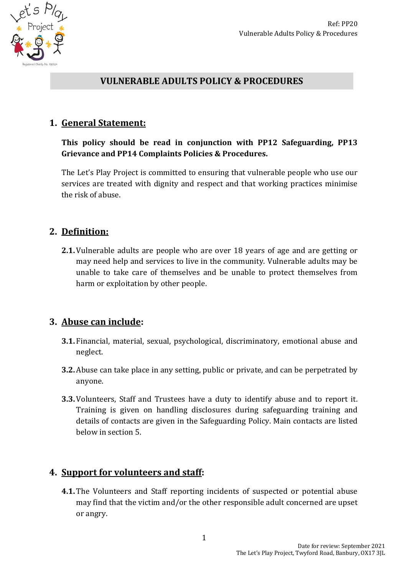



## **VULNERABLE ADULTS POLICY & PROCEDURES**

### **1. General Statement:**

**This policy should be read in conjunction with PP12 Safeguarding, PP13 Grievance and PP14 Complaints Policies & Procedures.**

The Let's Play Project is committed to ensuring that vulnerable people who use our services are treated with dignity and respect and that working practices minimise the risk of abuse.

## **2. Definition:**

**2.1.** Vulnerable adults are people who are over 18 years of age and are getting or may need help and services to live in the community. Vulnerable adults may be unable to take care of themselves and be unable to protect themselves from harm or exploitation by other people.

#### **3. Abuse can include:**

- **3.1.** Financial, material, sexual, psychological, discriminatory, emotional abuse and neglect.
- **3.2.**Abuse can take place in any setting, public or private, and can be perpetrated by anyone.
- **3.3.** Volunteers, Staff and Trustees have a duty to identify abuse and to report it. Training is given on handling disclosures during safeguarding training and details of contacts are given in the Safeguarding Policy. Main contacts are listed below in section 5.

## **4. Support for volunteers and staff:**

**4.1.** The Volunteers and Staff reporting incidents of suspected or potential abuse may find that the victim and/or the other responsible adult concerned are upset or angry.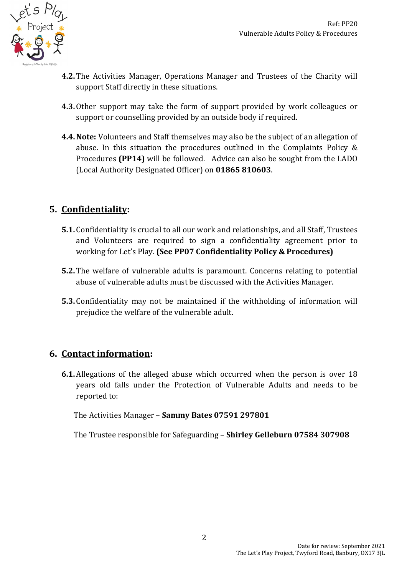

- **4.2.** The Activities Manager, Operations Manager and Trustees of the Charity will support Staff directly in these situations.
- **4.3.**Other support may take the form of support provided by work colleagues or support or counselling provided by an outside body if required.
- **4.4.Note:** Volunteers and Staff themselves may also be the subject of an allegation of abuse. In this situation the procedures outlined in the Complaints Policy & Procedures **(PP14)** will be followed. Advice can also be sought from the LADO (Local Authority Designated Officer) on **01865 810603**.

# **5. Confidentiality:**

- **5.1.** Confidentiality is crucial to all our work and relationships, and all Staff, Trustees and Volunteers are required to sign a confidentiality agreement prior to working for Let's Play. **(See PP07 Confidentiality Policy & Procedures)**
- **5.2.** The welfare of vulnerable adults is paramount. Concerns relating to potential abuse of vulnerable adults must be discussed with the Activities Manager.
- **5.3.** Confidentiality may not be maintained if the withholding of information will prejudice the welfare of the vulnerable adult.

## **6. Contact information:**

**6.1.**Allegations of the alleged abuse which occurred when the person is over 18 years old falls under the Protection of Vulnerable Adults and needs to be reported to:

The Activities Manager – **Sammy Bates 07591 297801** 

The Trustee responsible for Safeguarding – **Shirley Gelleburn 07584 307908**